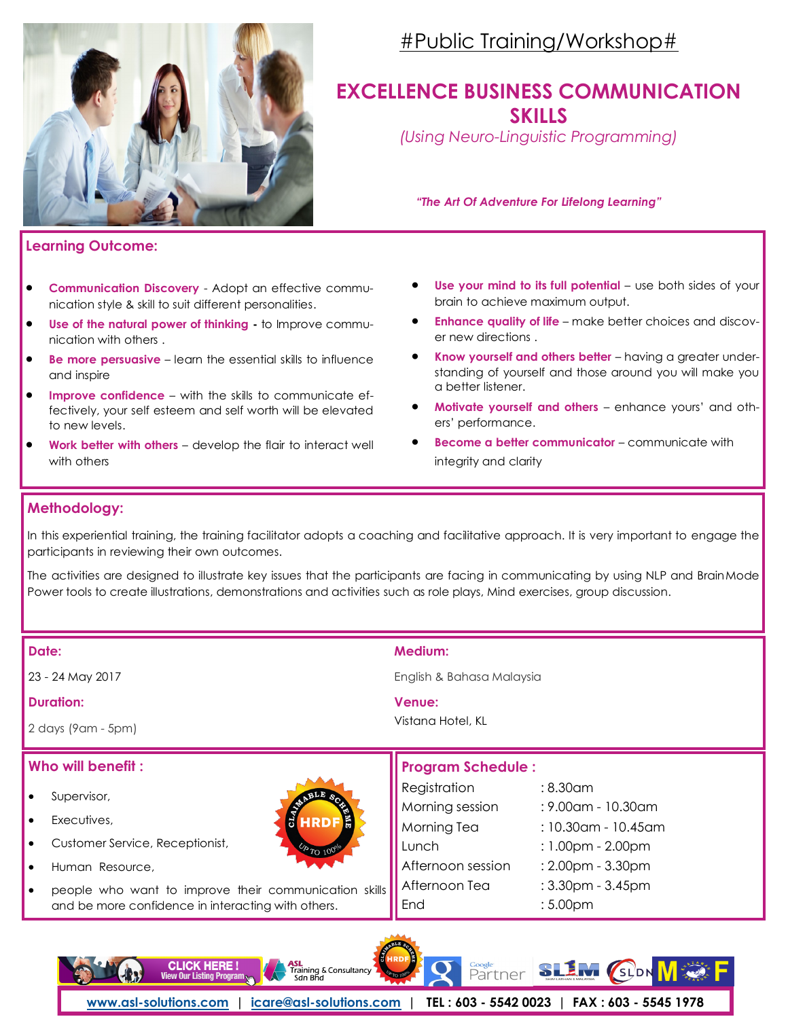

## #Public Training/Workshop#

### **EXCELLENCE BUSINESS COMMUNICATION SKILLS**

*(Using Neuro-Linguistic Programming)*

*"The Art Of Adventure For Lifelong Learning"*

#### **Learning Outcome:**

- **Communication Discovery** Adopt an effective communication style & skill to suit different personalities.
- **Use of the natural power of thinking -** to Improve communication with others .
- **Be more persuasive** learn the essential skills to influence and inspire
- **Improve confidence**  with the skills to communicate effectively, your self esteem and self worth will be elevated to new levels.
- **Work better with others**  develop the flair to interact well with others

- **Use your mind to its full potential** use both sides of your brain to achieve maximum output.
- **Enhance quality of life**  make better choices and discover new directions .
- **Know yourself and others better**  having a greater understanding of yourself and those around you will make you a better listener.
- **Motivate yourself and others**  enhance yours' and others' performance.
- **Become a better communicator communicate with** integrity and clarity

#### **Methodology:**

In this experiential training, the training facilitator adopts a coaching and facilitative approach. It is very important to engage the participants in reviewing their own outcomes.

The activities are designed to illustrate key issues that the participants are facing in communicating by using NLP and BrainMode Power tools to create illustrations, demonstrations and activities such as role plays, Mind exercises, group discussion.

| Date:<br>23 - 24 May 2017<br><b>Duration:</b>                                                                                                                                                                                                                                   | Medium:<br>English & Bahasa Malaysia                                                                                                                                                                                                                                 |  |  |  |  |  |
|---------------------------------------------------------------------------------------------------------------------------------------------------------------------------------------------------------------------------------------------------------------------------------|----------------------------------------------------------------------------------------------------------------------------------------------------------------------------------------------------------------------------------------------------------------------|--|--|--|--|--|
| 2 days (9 am - 5 pm)                                                                                                                                                                                                                                                            | Venue:<br>Vistana Hotel, KL                                                                                                                                                                                                                                          |  |  |  |  |  |
| Who will benefit:                                                                                                                                                                                                                                                               | <b>Program Schedule:</b>                                                                                                                                                                                                                                             |  |  |  |  |  |
| Supervisor,<br><b>FE</b><br>HRDF<br>Executives,<br>$\bullet$<br>Customer Service, Receptionist,<br>$\bullet$<br><b>P</b> TO 100°<br>Human Resource,<br>$\bullet$<br>people who want to improve their communication skills<br>and be more confidence in interacting with others. | Registration<br>$:8.30$ am<br>Morning session<br>: 9.00am - 10.30am<br>Morning Tea<br>: 10.30am - 10.45am<br>Lunch<br>$: 1.00$ pm - 2.00pm<br>Afternoon session<br>$: 2.00$ pm - $3.30$ pm<br>Afternoon Tea<br>$: 3.30$ pm - $3.45$ pm<br>:5.00 <sub>pm</sub><br>End |  |  |  |  |  |
| <b>SHRDF</b><br><b>CLICK HERE!</b><br>Training & Consultancy<br>View Our Listing Program                                                                                                                                                                                        | Google<br>tner                                                                                                                                                                                                                                                       |  |  |  |  |  |

**[www.asl-solutions.com](http://www.asl-solutions.com) | [icare@asl-solutions.com](mailto:icare@asl-solutions.com) | TEL : 603 - 5542 0023 | FAX : 603 - 5545 1978**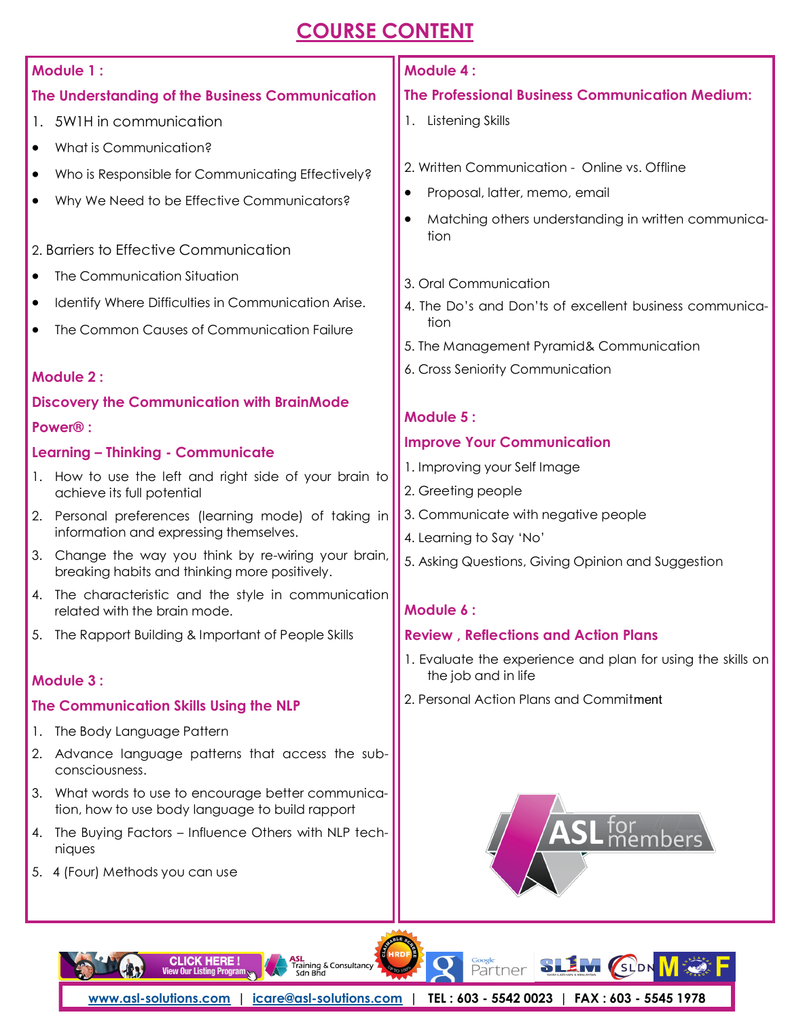# **COURSE CONTENT**

|                                                        | Module 1:                                                                                           | <b>Module 4:</b>                                               |  |  |  |  |  |
|--------------------------------------------------------|-----------------------------------------------------------------------------------------------------|----------------------------------------------------------------|--|--|--|--|--|
|                                                        | The Understanding of the Business Communication                                                     | <b>The Professional Business Communication Medium:</b>         |  |  |  |  |  |
|                                                        | 1. 5W1H in communication                                                                            | 1. Listening Skills                                            |  |  |  |  |  |
| $\bullet$                                              | What is Communication?                                                                              |                                                                |  |  |  |  |  |
| ٠                                                      | Who is Responsible for Communicating Effectively?                                                   | 2. Written Communication - Online vs. Offline                  |  |  |  |  |  |
| $\bullet$                                              | Why We Need to be Effective Communicators?                                                          | Proposal, latter, memo, email<br>$\bullet$                     |  |  |  |  |  |
|                                                        |                                                                                                     | Matching others understanding in written communica-            |  |  |  |  |  |
|                                                        | 2. Barriers to Effective Communication                                                              | tion                                                           |  |  |  |  |  |
| ٠                                                      | The Communication Situation                                                                         | 3. Oral Communication                                          |  |  |  |  |  |
| $\bullet$                                              | Identify Where Difficulties in Communication Arise.                                                 | 4. The Do's and Don'ts of excellent business communica-        |  |  |  |  |  |
| The Common Causes of Communication Failure             |                                                                                                     | tion                                                           |  |  |  |  |  |
|                                                        |                                                                                                     | 5. The Management Pyramid& Communication                       |  |  |  |  |  |
|                                                        | Module 2:                                                                                           | 6. Cross Seniority Communication                               |  |  |  |  |  |
|                                                        | <b>Discovery the Communication with BrainMode</b>                                                   |                                                                |  |  |  |  |  |
| Power <sup>®</sup> :                                   |                                                                                                     | <b>Module 5:</b>                                               |  |  |  |  |  |
|                                                        | <b>Learning - Thinking - Communicate</b>                                                            | <b>Improve Your Communication</b>                              |  |  |  |  |  |
| 1. How to use the left and right side of your brain to |                                                                                                     | 1. Improving your Self Image                                   |  |  |  |  |  |
|                                                        | achieve its full potential                                                                          | 2. Greeting people                                             |  |  |  |  |  |
|                                                        | 2. Personal preferences (learning mode) of taking in<br>information and expressing themselves.      | 3. Communicate with negative people<br>4. Learning to Say 'No' |  |  |  |  |  |
| 3.                                                     | Change the way you think by re-wiring your brain,                                                   | 5. Asking Questions, Giving Opinion and Suggestion             |  |  |  |  |  |
|                                                        | breaking habits and thinking more positively.                                                       |                                                                |  |  |  |  |  |
|                                                        | 4. The characteristic and the style in communication<br>related with the brain mode.                | Module 6:                                                      |  |  |  |  |  |
|                                                        | 5. The Rapport Building & Important of People Skills                                                | <b>Review, Reflections and Action Plans</b>                    |  |  |  |  |  |
|                                                        |                                                                                                     | 1. Evaluate the experience and plan for using the skills on    |  |  |  |  |  |
|                                                        | <b>Module 3:</b>                                                                                    | the job and in life                                            |  |  |  |  |  |
| The Communication Skills Using the NLP                 |                                                                                                     | 2. Personal Action Plans and Commitment                        |  |  |  |  |  |
| Ι.                                                     | The Body Language Pattern                                                                           |                                                                |  |  |  |  |  |
| 2.                                                     | Advance language patterns that access the sub-<br>consciousness.                                    |                                                                |  |  |  |  |  |
| 3.                                                     | What words to use to encourage better communica-<br>tion, how to use body language to build rapport |                                                                |  |  |  |  |  |
| 4.                                                     | The Buying Factors - Influence Others with NLP tech-<br>niques                                      |                                                                |  |  |  |  |  |

5. 4 (Four) Methods you can use

 $-122$ 

**CLICK HERE!**<br>View Our Listing Program

**[www.asl-solutions.com](http://www.asl-solutions.com) | [icare@asl-solutions.com](mailto:icare@asl-solutions.com) | TEL : 603 - 5542 0023 | FAX : 603 - 5545 1978**

Q

<sub>Google</sub><br>Partner

SLIM (SLDN VI

F

**ABLE SO** HRD

**ASL**<br>Training & Consultancy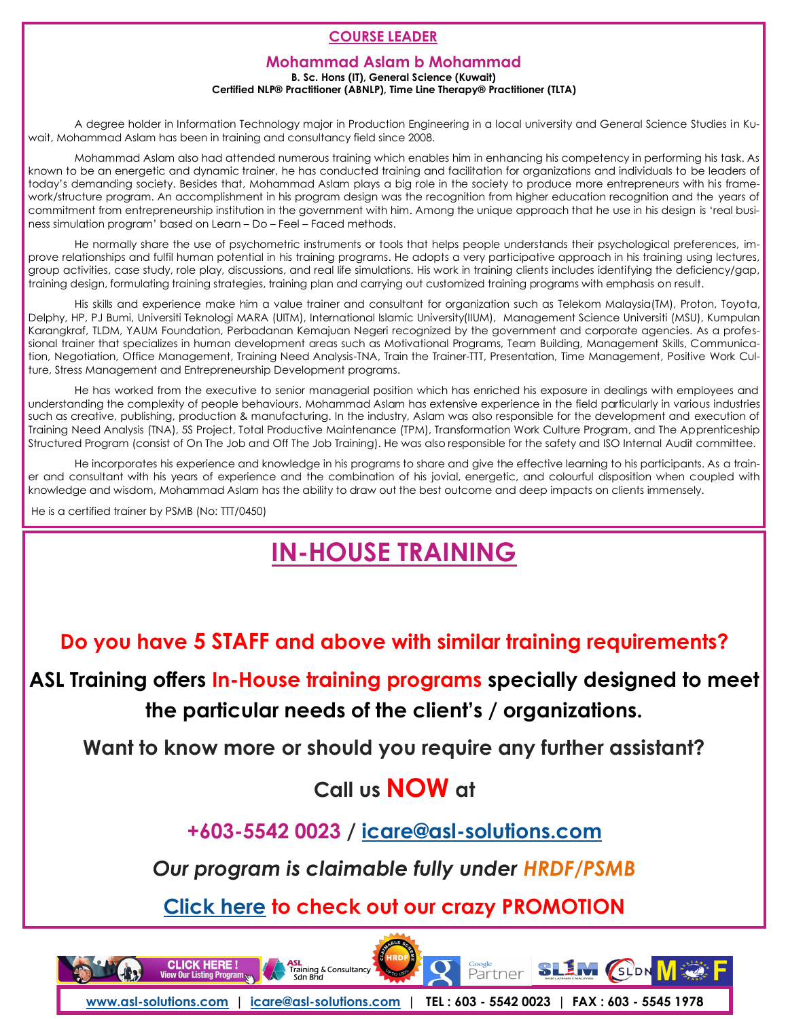#### **COURSE LEADER**

#### **Mohammad Aslam b Mohammad**

**B. Sc. Hons (IT), General Science (Kuwait)**

**Certified NLP® Practitioner (ABNLP), Time Line Therapy® Practitioner (TLTA)**

A degree holder in Information Technology major in Production Engineering in a local university and General Science Studies in Kuwait, Mohammad Aslam has been in training and consultancy field since 2008.

Mohammad Aslam also had attended numerous training which enables him in enhancing his competency in performing his task. As known to be an energetic and dynamic trainer, he has conducted training and facilitation for organizations and individuals to be leaders of today's demanding society. Besides that, Mohammad Aslam plays a big role in the society to produce more entrepreneurs with his framework/structure program. An accomplishment in his program design was the recognition from higher education recognition and the years of commitment from entrepreneurship institution in the government with him. Among the unique approach that he use in his design is 'real business simulation program' based on Learn – Do – Feel – Faced methods.

He normally share the use of psychometric instruments or tools that helps people understands their psychological preferences, improve relationships and fulfil human potential in his training programs. He adopts a very participative approach in his training using lectures, group activities, case study, role play, discussions, and real life simulations. His work in training clients includes identifying the deficiency/gap, training design, formulating training strategies, training plan and carrying out customized training programs with emphasis on result.

His skills and experience make him a value trainer and consultant for organization such as Telekom Malaysia(TM), Proton, Toyota, Delphy, HP, PJ Bumi, Universiti Teknologi MARA (UITM), International Islamic University(IIUM), Management Science Universiti (MSU), Kumpulan Karangkraf, TLDM, YAUM Foundation, Perbadanan Kemajuan Negeri recognized by the government and corporate agencies. As a professional trainer that specializes in human development areas such as Motivational Programs, Team Building, Management Skills, Communication, Negotiation, Office Management, Training Need Analysis-TNA, Train the Trainer-TTT, Presentation, Time Management, Positive Work Culture, Stress Management and Entrepreneurship Development programs.

He has worked from the executive to senior managerial position which has enriched his exposure in dealings with employees and understanding the complexity of people behaviours. Mohammad Aslam has extensive experience in the field particularly in various industries such as creative, publishing, production & manufacturing. In the industry, Aslam was also responsible for the development and execution of Training Need Analysis (TNA), 5S Project, Total Productive Maintenance (TPM), Transformation Work Culture Program, and The Apprenticeship Structured Program (consist of On The Job and Off The Job Training). He was also responsible for the safety and ISO Internal Audit committee.

He incorporates his experience and knowledge in his programs to share and give the effective learning to his participants. As a trainer and consultant with his years of experience and the combination of his jovial, energetic, and colourful disposition when coupled with knowledge and wisdom, Mohammad Aslam has the ability to draw out the best outcome and deep impacts on clients immensely.

He is a certified trainer by PSMB (No: TTT/0450)

# **[IN-HOUSE TRAINING](http://www.asl-solutions.com/corporate-training/in-house-training/)**

**Do you have 5 STAFF and above with similar training requirements?**

**ASL Training offers In-House training programs specially designed to meet the particular needs of the client's / organizations.**

**Want to know more or should you require any further assistant?**

## **Call us NOW at**

**+603-5542 0023 / icare@asl-solutions.com**

*Our program is claimable fully under HRDF/PSMB*

**[Click here](http://asl-solutions.com/publictraining) to check out our crazy PROMOTION**

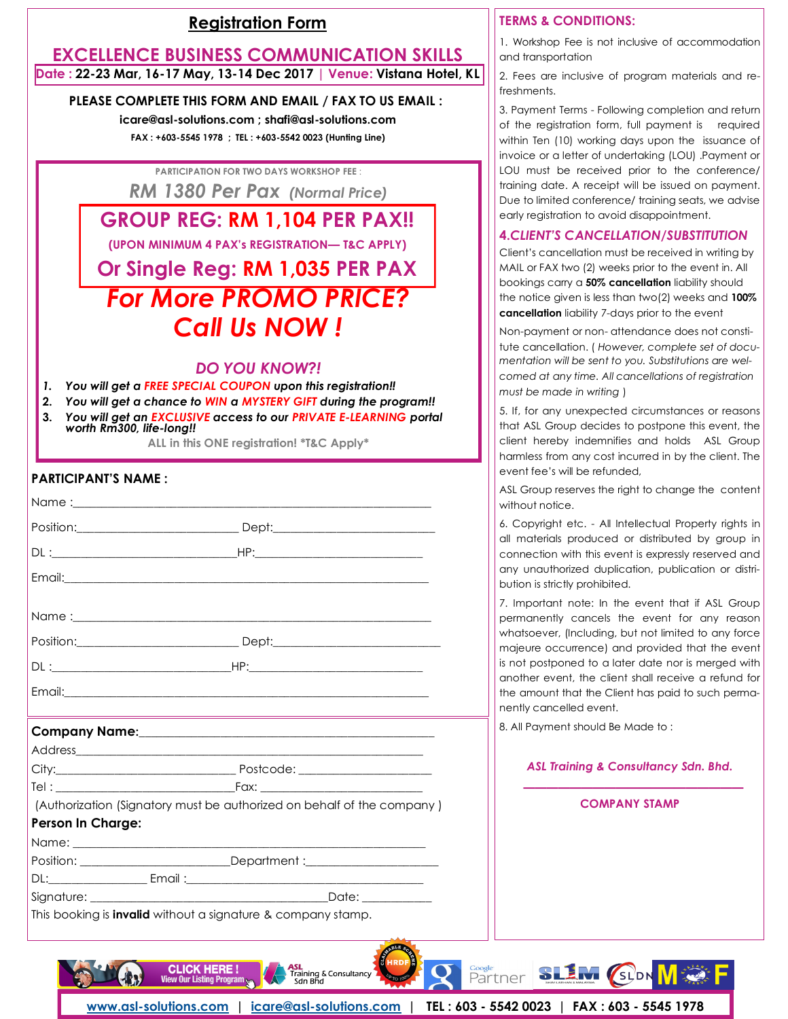#### **[Registration Form](http://www.asl-solutions.com/corporate-training/public-training/registration-form/)**

#### **EXCELLENCE BUSINESS COMMUNICATION SKILLS Date : 22-23 Mar, 16-17 May, 13-14 Dec 2017** *|* **Venue: Vistana Hotel, KL**

#### **PLEASE COMPLETE THIS FORM AND EMAIL / FAX TO US EMAIL :**

**icare@asl-solutions.com ; shafi@asl-solutions.com FAX : +603-5545 1978 ; TEL : +603-5542 0023 (Hunting Line)**

**PARTICIPATION FOR TWO DAYS WORKSHOP FEE** :

*RM 1380 Per Pax (Normal Price)*

**GROUP REG: RM 1,104 PER PAX!!**

**(UPON MINIMUM 4 PAX's REGISTRATION— T&C APPLY)**

# *For More PROMO PRICE? Call Us NOW !* **Or Single Reg: RM 1,035 PER PAX**

#### *DO YOU KNOW?!*

- *1. You will get a FREE SPECIAL COUPON upon this registration!!*
- **2.** *You will get a chance to WIN a MYSTERY GIFT during the program!!*
- **3.** *You will get an EXCLUSIVE access to our PRIVATE E-LEARNING portal worth Rm300, life-long!!*

**ALL in this ONE registration! \*T&C Apply\***

#### **PARTICIPANT'S NAME :**

|                                                                     | <u> 1989 - Andrea Santana, amerikana amerikana amerikana amerikana amerikana amerikana amerikana amerikana amerika</u> |
|---------------------------------------------------------------------|------------------------------------------------------------------------------------------------------------------------|
|                                                                     |                                                                                                                        |
|                                                                     |                                                                                                                        |
|                                                                     |                                                                                                                        |
|                                                                     |                                                                                                                        |
|                                                                     | (Authorization (Signatory must be authorized on behalf of the company)                                                 |
| <b>Person In Charge:</b>                                            |                                                                                                                        |
|                                                                     |                                                                                                                        |
|                                                                     | Position: __________________________Department :________________________________                                       |
|                                                                     |                                                                                                                        |
|                                                                     |                                                                                                                        |
| This booking is <b>invalid</b> without a signature & company stamp. |                                                                                                                        |
|                                                                     |                                                                                                                        |

#### **TERMS & CONDITIONS:**

1. Workshop Fee is not inclusive of accommodation and transportation

2. Fees are inclusive of program materials and refreshments.

3. Payment Terms - Following completion and return of the registration form, full payment is required within Ten (10) working days upon the issuance of invoice or a letter of undertaking (LOU) .Payment or LOU must be received prior to the conference/ training date. A receipt will be issued on payment. Due to limited conference/ training seats, we advise early registration to avoid disappointment.

#### **4.***CLIENT'S CANCELLATION/SUBSTITUTION*

Client's cancellation must be received in writing by MAIL or FAX two (2) weeks prior to the event in. All bookings carry a **50% cancellation** liability should the notice given is less than two(2) weeks and **100% cancellation** liability 7-days prior to the event

Non-payment or non- attendance does not constitute cancellation. ( *However, complete set of documentation will be sent to you. Substitutions are welcomed at any time. All cancellations of registration must be made in writing* )

5. If, for any unexpected circumstances or reasons that ASL Group decides to postpone this event, the client hereby indemnifies and holds ASL Group harmless from any cost incurred in by the client. The event fee's will be refunded,

ASL Group reserves the right to change the content without notice.

6. Copyright etc. - All Intellectual Property rights in all materials produced or distributed by group in connection with this event is expressly reserved and any unauthorized duplication, publication or distribution is strictly prohibited.

7. Important note: In the event that if ASL Group permanently cancels the event for any reason whatsoever, (Including, but not limited to any force majeure occurrence) and provided that the event is not postponed to a later date nor is merged with another event, the client shall receive a refund for the amount that the Client has paid to such permanently cancelled event.

8. All Payment should Be Made to :

#### *ASL Training & Consultancy Sdn. Bhd.*

 *———————————————————* **COMPANY STAMP**